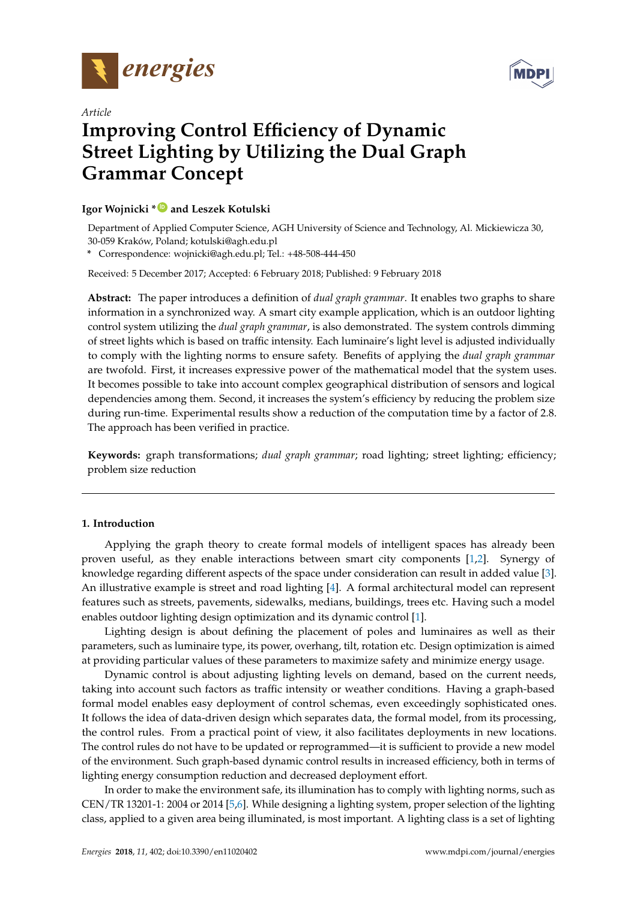



# *Article* **Improving Control Efficiency of Dynamic Street Lighting by Utilizing the Dual Graph Grammar Concept**

## **Igor Wojnicki \* [ID](https://orcid.org/0000-0002-4406-4992) and Leszek Kotulski**

Department of Applied Computer Science, AGH University of Science and Technology, Al. Mickiewicza 30, 30-059 Kraków, Poland; kotulski@agh.edu.pl

**\*** Correspondence: wojnicki@agh.edu.pl; Tel.: +48-508-444-450

Received: 5 December 2017; Accepted: 6 February 2018; Published: 9 February 2018

**Abstract:** The paper introduces a definition of *dual graph grammar*. It enables two graphs to share information in a synchronized way. A smart city example application, which is an outdoor lighting control system utilizing the *dual graph grammar*, is also demonstrated. The system controls dimming of street lights which is based on traffic intensity. Each luminaire's light level is adjusted individually to comply with the lighting norms to ensure safety. Benefits of applying the *dual graph grammar* are twofold. First, it increases expressive power of the mathematical model that the system uses. It becomes possible to take into account complex geographical distribution of sensors and logical dependencies among them. Second, it increases the system's efficiency by reducing the problem size during run-time. Experimental results show a reduction of the computation time by a factor of 2.8. The approach has been verified in practice.

**Keywords:** graph transformations; *dual graph grammar*; road lighting; street lighting; efficiency; problem size reduction

## **1. Introduction**

Applying the graph theory to create formal models of intelligent spaces has already been proven useful, as they enable interactions between smart city components [\[1](#page-13-0)[,2\]](#page-13-1). Synergy of knowledge regarding different aspects of the space under consideration can result in added value [\[3\]](#page-13-2). An illustrative example is street and road lighting [\[4\]](#page-13-3). A formal architectural model can represent features such as streets, pavements, sidewalks, medians, buildings, trees etc. Having such a model enables outdoor lighting design optimization and its dynamic control [\[1\]](#page-13-0).

Lighting design is about defining the placement of poles and luminaires as well as their parameters, such as luminaire type, its power, overhang, tilt, rotation etc. Design optimization is aimed at providing particular values of these parameters to maximize safety and minimize energy usage.

Dynamic control is about adjusting lighting levels on demand, based on the current needs, taking into account such factors as traffic intensity or weather conditions. Having a graph-based formal model enables easy deployment of control schemas, even exceedingly sophisticated ones. It follows the idea of data-driven design which separates data, the formal model, from its processing, the control rules. From a practical point of view, it also facilitates deployments in new locations. The control rules do not have to be updated or reprogrammed—it is sufficient to provide a new model of the environment. Such graph-based dynamic control results in increased efficiency, both in terms of lighting energy consumption reduction and decreased deployment effort.

In order to make the environment safe, its illumination has to comply with lighting norms, such as CEN/TR 13201-1: 2004 or 2014 [\[5](#page-13-4)[,6\]](#page-13-5). While designing a lighting system, proper selection of the lighting class, applied to a given area being illuminated, is most important. A lighting class is a set of lighting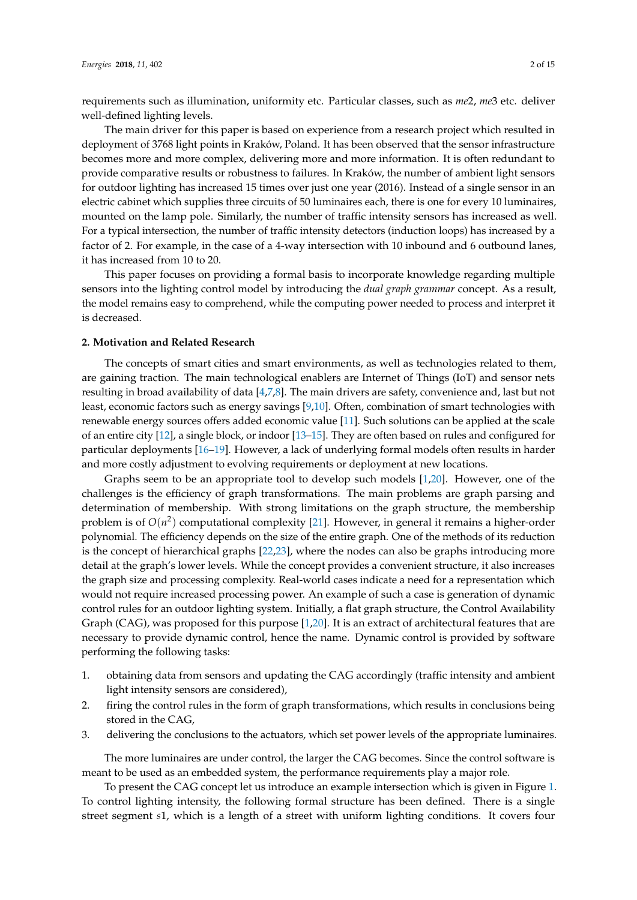requirements such as illumination, uniformity etc. Particular classes, such as *me*2, *me*3 etc. deliver well-defined lighting levels.

The main driver for this paper is based on experience from a research project which resulted in deployment of 3768 light points in Kraków, Poland. It has been observed that the sensor infrastructure becomes more and more complex, delivering more and more information. It is often redundant to provide comparative results or robustness to failures. In Kraków, the number of ambient light sensors for outdoor lighting has increased 15 times over just one year (2016). Instead of a single sensor in an electric cabinet which supplies three circuits of 50 luminaires each, there is one for every 10 luminaires, mounted on the lamp pole. Similarly, the number of traffic intensity sensors has increased as well. For a typical intersection, the number of traffic intensity detectors (induction loops) has increased by a factor of 2. For example, in the case of a 4-way intersection with 10 inbound and 6 outbound lanes, it has increased from 10 to 20.

This paper focuses on providing a formal basis to incorporate knowledge regarding multiple sensors into the lighting control model by introducing the *dual graph grammar* concept. As a result, the model remains easy to comprehend, while the computing power needed to process and interpret it is decreased.

## **2. Motivation and Related Research**

The concepts of smart cities and smart environments, as well as technologies related to them, are gaining traction. The main technological enablers are Internet of Things (IoT) and sensor nets resulting in broad availability of data [\[4,](#page-13-3)[7](#page-13-6)[,8\]](#page-13-7). The main drivers are safety, convenience and, last but not least, economic factors such as energy savings [\[9,](#page-13-8)[10\]](#page-13-9). Often, combination of smart technologies with renewable energy sources offers added economic value [\[11\]](#page-13-10). Such solutions can be applied at the scale of an entire city [\[12\]](#page-13-11), a single block, or indoor [\[13](#page-14-0)[–15\]](#page-14-1). They are often based on rules and configured for particular deployments [\[16](#page-14-2)[–19\]](#page-14-3). However, a lack of underlying formal models often results in harder and more costly adjustment to evolving requirements or deployment at new locations.

Graphs seem to be an appropriate tool to develop such models [\[1](#page-13-0)[,20\]](#page-14-4). However, one of the challenges is the efficiency of graph transformations. The main problems are graph parsing and determination of membership. With strong limitations on the graph structure, the membership problem is of  $O(n^2)$  computational complexity [\[21\]](#page-14-5). However, in general it remains a higher-order polynomial. The efficiency depends on the size of the entire graph. One of the methods of its reduction is the concept of hierarchical graphs [\[22](#page-14-6)[,23\]](#page-14-7), where the nodes can also be graphs introducing more detail at the graph's lower levels. While the concept provides a convenient structure, it also increases the graph size and processing complexity. Real-world cases indicate a need for a representation which would not require increased processing power. An example of such a case is generation of dynamic control rules for an outdoor lighting system. Initially, a flat graph structure, the Control Availability Graph (CAG), was proposed for this purpose [\[1](#page-13-0)[,20\]](#page-14-4). It is an extract of architectural features that are necessary to provide dynamic control, hence the name. Dynamic control is provided by software performing the following tasks:

- 1. obtaining data from sensors and updating the CAG accordingly (traffic intensity and ambient light intensity sensors are considered),
- 2. firing the control rules in the form of graph transformations, which results in conclusions being stored in the CAG,
- 3. delivering the conclusions to the actuators, which set power levels of the appropriate luminaires.

The more luminaires are under control, the larger the CAG becomes. Since the control software is meant to be used as an embedded system, the performance requirements play a major role.

To present the CAG concept let us introduce an example intersection which is given in Figure [1.](#page-2-0) To control lighting intensity, the following formal structure has been defined. There is a single street segment *s*1, which is a length of a street with uniform lighting conditions. It covers four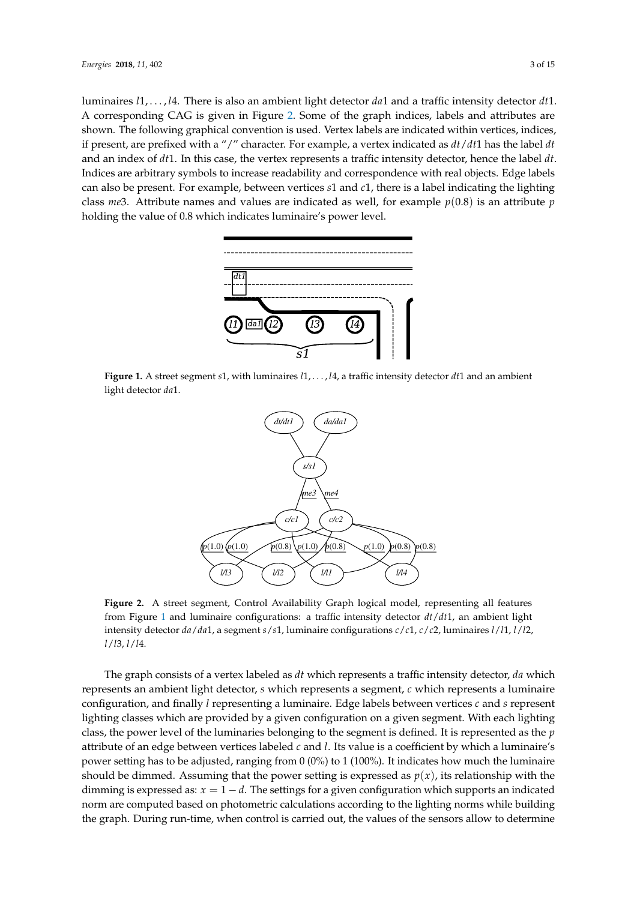luminaires *l*1, . . . , *l*4. There is also an ambient light detector *da*1 and a traffic intensity detector *dt*1. A corresponding CAG is given in Figure [2.](#page-2-1) Some of the graph indices, labels and attributes are shown. The following graphical convention is used. Vertex labels are indicated within vertices, indices, if present, are prefixed with a "/" character. For example, a vertex indicated as *dt*/*dt*1 has the label *dt* and an index of *dt*1. In this case, the vertex represents a traffic intensity detector, hence the label *dt*. Indices are arbitrary symbols to increase readability and correspondence with real objects. Edge labels can also be present. For example, between vertices *s*1 and *c*1, there is a label indicating the lighting class *me*3. Attribute names and values are indicated as well, for example *p*(0.8) is an attribute *p* holding the value of 0.8 which indicates luminaire's power level.

<span id="page-2-0"></span>

<span id="page-2-1"></span>**Figure 1.** A street segment *s*1, with luminaires *l*1, . . . , *l*4, a traffic intensity detector *dt*1 and an ambient light detector *da*1.



**Figure 2.** A street segment, Control Availability Graph logical model, representing all features from Figure [1](#page-2-0) and luminaire configurations: a traffic intensity detector *dt*/*dt*1, an ambient light intensity detector *da*/*da*1, a segment *s*/*s*1, luminaire configurations *c*/*c*1, *c*/*c*2, luminaires *l*/*l*1, *l*/*l*2, *l*/*l*3, *l*/*l*4.

The graph consists of a vertex labeled as *dt* which represents a traffic intensity detector, *da* which represents an ambient light detector, *s* which represents a segment, *c* which represents a luminaire configuration, and finally *l* representing a luminaire. Edge labels between vertices *c* and *s* represent lighting classes which are provided by a given configuration on a given segment. With each lighting class, the power level of the luminaries belonging to the segment is defined. It is represented as the *p* attribute of an edge between vertices labeled *c* and *l*. Its value is a coefficient by which a luminaire's power setting has to be adjusted, ranging from 0 (0%) to 1 (100%). It indicates how much the luminaire should be dimmed. Assuming that the power setting is expressed as  $p(x)$ , its relationship with the dimming is expressed as:  $x = 1 - d$ . The settings for a given configuration which supports an indicated norm are computed based on photometric calculations according to the lighting norms while building the graph. During run-time, when control is carried out, the values of the sensors allow to determine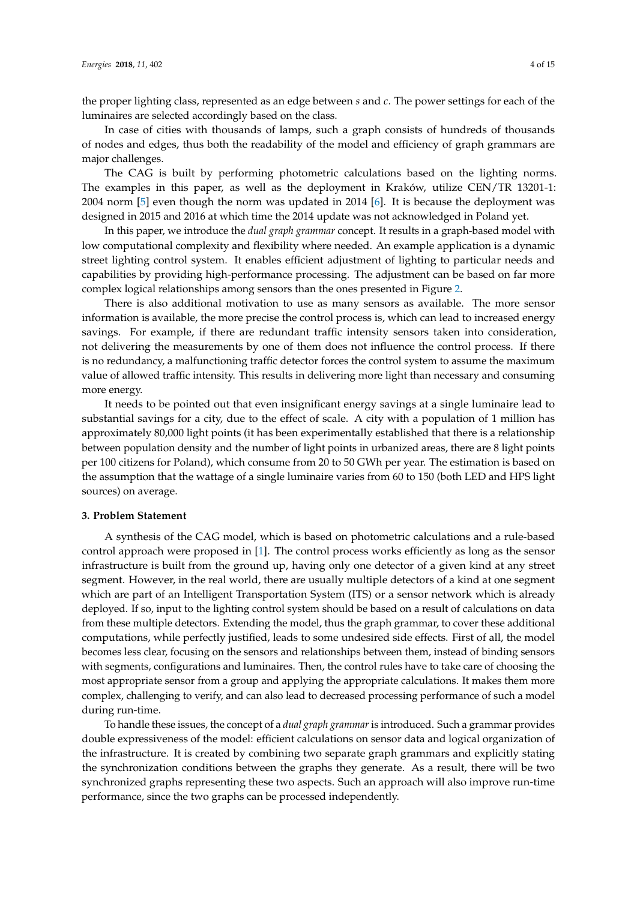the proper lighting class, represented as an edge between *s* and *c*. The power settings for each of the luminaires are selected accordingly based on the class.

In case of cities with thousands of lamps, such a graph consists of hundreds of thousands of nodes and edges, thus both the readability of the model and efficiency of graph grammars are major challenges.

The CAG is built by performing photometric calculations based on the lighting norms. The examples in this paper, as well as the deployment in Kraków, utilize CEN/TR 13201-1: 2004 norm [\[5\]](#page-13-4) even though the norm was updated in 2014 [\[6\]](#page-13-5). It is because the deployment was designed in 2015 and 2016 at which time the 2014 update was not acknowledged in Poland yet.

In this paper, we introduce the *dual graph grammar* concept. It results in a graph-based model with low computational complexity and flexibility where needed. An example application is a dynamic street lighting control system. It enables efficient adjustment of lighting to particular needs and capabilities by providing high-performance processing. The adjustment can be based on far more complex logical relationships among sensors than the ones presented in Figure [2.](#page-2-1)

There is also additional motivation to use as many sensors as available. The more sensor information is available, the more precise the control process is, which can lead to increased energy savings. For example, if there are redundant traffic intensity sensors taken into consideration, not delivering the measurements by one of them does not influence the control process. If there is no redundancy, a malfunctioning traffic detector forces the control system to assume the maximum value of allowed traffic intensity. This results in delivering more light than necessary and consuming more energy.

It needs to be pointed out that even insignificant energy savings at a single luminaire lead to substantial savings for a city, due to the effect of scale. A city with a population of 1 million has approximately 80,000 light points (it has been experimentally established that there is a relationship between population density and the number of light points in urbanized areas, there are 8 light points per 100 citizens for Poland), which consume from 20 to 50 GWh per year. The estimation is based on the assumption that the wattage of a single luminaire varies from 60 to 150 (both LED and HPS light sources) on average.

### <span id="page-3-0"></span>**3. Problem Statement**

A synthesis of the CAG model, which is based on photometric calculations and a rule-based control approach were proposed in [\[1\]](#page-13-0). The control process works efficiently as long as the sensor infrastructure is built from the ground up, having only one detector of a given kind at any street segment. However, in the real world, there are usually multiple detectors of a kind at one segment which are part of an Intelligent Transportation System (ITS) or a sensor network which is already deployed. If so, input to the lighting control system should be based on a result of calculations on data from these multiple detectors. Extending the model, thus the graph grammar, to cover these additional computations, while perfectly justified, leads to some undesired side effects. First of all, the model becomes less clear, focusing on the sensors and relationships between them, instead of binding sensors with segments, configurations and luminaires. Then, the control rules have to take care of choosing the most appropriate sensor from a group and applying the appropriate calculations. It makes them more complex, challenging to verify, and can also lead to decreased processing performance of such a model during run-time.

To handle these issues, the concept of a *dual graph grammar* is introduced. Such a grammar provides double expressiveness of the model: efficient calculations on sensor data and logical organization of the infrastructure. It is created by combining two separate graph grammars and explicitly stating the synchronization conditions between the graphs they generate. As a result, there will be two synchronized graphs representing these two aspects. Such an approach will also improve run-time performance, since the two graphs can be processed independently.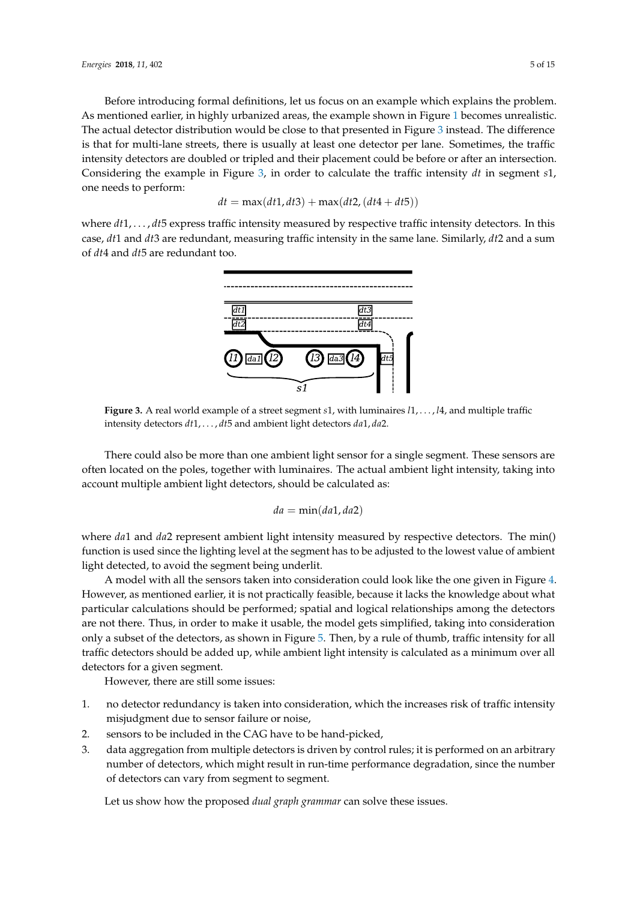Before introducing formal definitions, let us focus on an example which explains the problem. As mentioned earlier, in highly urbanized areas, the example shown in Figure [1](#page-2-0) becomes unrealistic. The actual detector distribution would be close to that presented in Figure [3](#page-4-0) instead. The difference is that for multi-lane streets, there is usually at least one detector per lane. Sometimes, the traffic intensity detectors are doubled or tripled and their placement could be before or after an intersection. Considering the example in Figure [3,](#page-4-0) in order to calculate the traffic intensity *dt* in segment *s*1, one needs to perform:

$$
dt = \max(dt1, dt3) + \max(dt2, (dt4 + dt5))
$$

<span id="page-4-0"></span>where  $dt1, \ldots, dt5$  express traffic intensity measured by respective traffic intensity detectors. In this case, *dt*1 and *dt*3 are redundant, measuring traffic intensity in the same lane. Similarly, *dt*2 and a sum of *dt*4 and *dt*5 are redundant too.



**Figure 3.** A real world example of a street segment *s*1, with luminaires *l*1, . . . , *l*4, and multiple traffic intensity detectors *dt*1, . . . , *dt*5 and ambient light detectors *da*1, *da*2.

There could also be more than one ambient light sensor for a single segment. These sensors are often located on the poles, together with luminaires. The actual ambient light intensity, taking into account multiple ambient light detectors, should be calculated as:

$$
da = \min(da1, da2)
$$

where *da*1 and *da*2 represent ambient light intensity measured by respective detectors. The min() function is used since the lighting level at the segment has to be adjusted to the lowest value of ambient light detected, to avoid the segment being underlit.

A model with all the sensors taken into consideration could look like the one given in Figure [4.](#page-5-0) However, as mentioned earlier, it is not practically feasible, because it lacks the knowledge about what particular calculations should be performed; spatial and logical relationships among the detectors are not there. Thus, in order to make it usable, the model gets simplified, taking into consideration only a subset of the detectors, as shown in Figure [5.](#page-5-1) Then, by a rule of thumb, traffic intensity for all traffic detectors should be added up, while ambient light intensity is calculated as a minimum over all detectors for a given segment.

However, there are still some issues:

- 1. no detector redundancy is taken into consideration, which the increases risk of traffic intensity misjudgment due to sensor failure or noise,
- 2. sensors to be included in the CAG have to be hand-picked,
- 3. data aggregation from multiple detectors is driven by control rules; it is performed on an arbitrary number of detectors, which might result in run-time performance degradation, since the number of detectors can vary from segment to segment.

Let us show how the proposed *dual graph grammar* can solve these issues.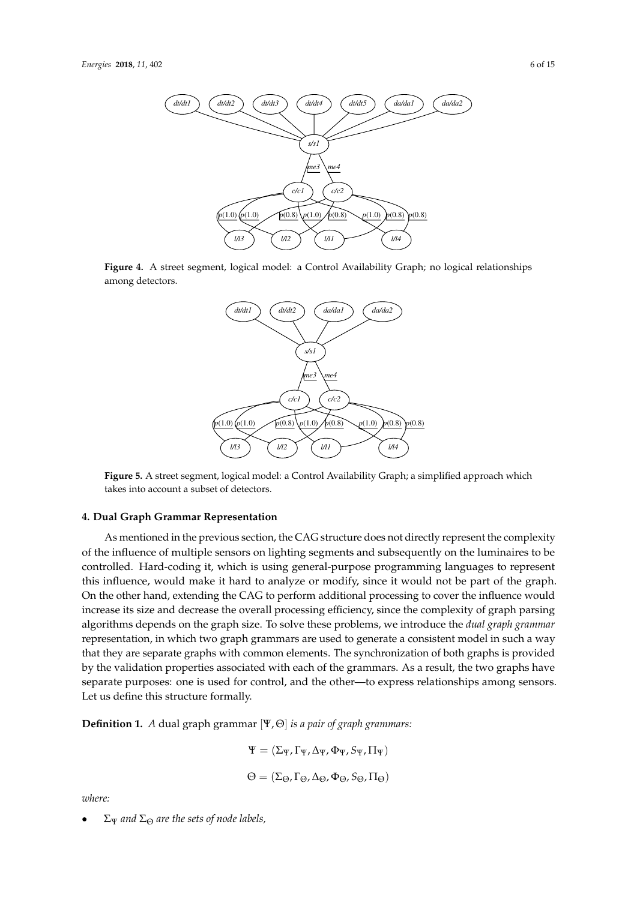<span id="page-5-0"></span>

<span id="page-5-1"></span>**Figure 4.** A street segment, logical model: a Control Availability Graph; no logical relationships among detectors.



**Figure 5.** A street segment, logical model: a Control Availability Graph; a simplified approach which takes into account a subset of detectors.

#### **4. Dual Graph Grammar Representation**

As mentioned in the previous section, the CAG structure does not directly represent the complexity of the influence of multiple sensors on lighting segments and subsequently on the luminaires to be controlled. Hard-coding it, which is using general-purpose programming languages to represent this influence, would make it hard to analyze or modify, since it would not be part of the graph. On the other hand, extending the CAG to perform additional processing to cover the influence would increase its size and decrease the overall processing efficiency, since the complexity of graph parsing algorithms depends on the graph size. To solve these problems, we introduce the *dual graph grammar* representation, in which two graph grammars are used to generate a consistent model in such a way that they are separate graphs with common elements. The synchronization of both graphs is provided by the validation properties associated with each of the grammars. As a result, the two graphs have separate purposes: one is used for control, and the other—to express relationships among sensors. Let us define this structure formally.

**Definition 1.** *A* dual graph grammar [Ψ, Θ] *is a pair of graph grammars:*

$$
\begin{array}{l} \Psi = (\Sigma_{\Psi}, \Gamma_{\Psi}, \Delta_{\Psi}, \Phi_{\Psi}, S_{\Psi}, \Pi_{\Psi}) \\ \\ \Theta = (\Sigma_{\Theta}, \Gamma_{\Theta}, \Delta_{\Theta}, \Phi_{\Theta}, S_{\Theta}, \Pi_{\Theta}) \end{array}
$$

*where:*

• Σ<sup>Ψ</sup> *and* Σ<sup>Θ</sup> *are the sets of node labels,*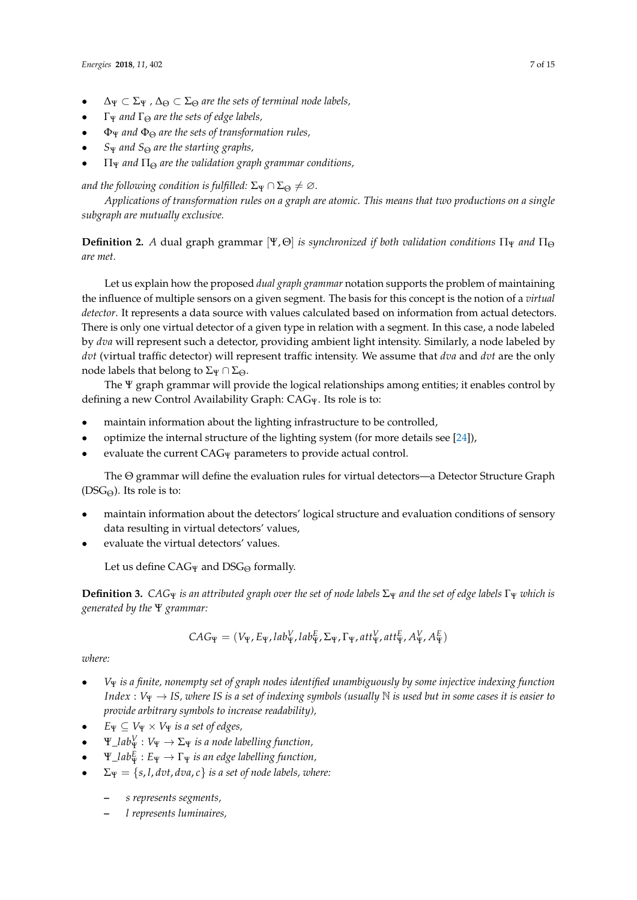- $\Delta_{\Psi} \subset \Sigma_{\Psi}$ ,  $\Delta_{\Theta} \subset \Sigma_{\Theta}$  are the sets of terminal node labels,
- Γ<sup>Ψ</sup> *and* Γ<sup>Θ</sup> *are the sets of edge labels,*
- Φ<sup>Ψ</sup> *and* Φ<sup>Θ</sup> *are the sets of transformation rules,*
- *S*<sup>Ψ</sup> *and S*<sup>Θ</sup> *are the starting graphs,*
- Π<sup>Ψ</sup> *and* Π<sup>Θ</sup> *are the validation graph grammar conditions,*

*and the following condition is fulfilled:*  $\Sigma_{\Psi} \cap \Sigma_{\Theta} \neq \emptyset$ .

*Applications of transformation rules on a graph are atomic. This means that two productions on a single subgraph are mutually exclusive.*

<span id="page-6-1"></span>**Definition 2.** *A* dual graph grammar  $[\Psi, \Theta]$  *is synchronized if both validation conditions*  $\Pi_{\Psi}$  *and*  $\Pi_{\Theta}$ *are met.*

Let us explain how the proposed *dual graph grammar* notation supports the problem of maintaining the influence of multiple sensors on a given segment. The basis for this concept is the notion of a *virtual detector*. It represents a data source with values calculated based on information from actual detectors. There is only one virtual detector of a given type in relation with a segment. In this case, a node labeled by *dva* will represent such a detector, providing ambient light intensity. Similarly, a node labeled by *dvt* (virtual traffic detector) will represent traffic intensity. We assume that *dva* and *dvt* are the only node labels that belong to  $\Sigma$ Ψ  $\cap$   $\Sigma$ <sub>Θ</sub>.

The Ψ graph grammar will provide the logical relationships among entities; it enables control by defining a new Control Availability Graph: CAG<sub>Ψ</sub>. Its role is to:

- maintain information about the lighting infrastructure to be controlled,
- optimize the internal structure of the lighting system (for more details see [\[24\]](#page-14-8)),
- evaluate the current  $CAG_{\Psi}$  parameters to provide actual control.

The Θ grammar will define the evaluation rules for virtual detectors—a Detector Structure Graph  $(DSG<sub>Θ</sub>)$ . Its role is to:

- maintain information about the detectors' logical structure and evaluation conditions of sensory data resulting in virtual detectors' values,
- evaluate the virtual detectors' values.

Let us define  $CAG_{\Psi}$  and  $DSG_{\Theta}$  formally.

<span id="page-6-0"></span>**Definition 3.** CAG $\Psi$  *is an attributed graph over the set of node labels*  $\Sigma_{\Psi}$  *and the set of edge labels*  $\Gamma_{\Psi}$  *which is generated by the* Ψ *grammar:*

$$
CAG_{\Psi} = (V_{\Psi}, E_{\Psi}, lab_{\Psi}^V, lab_{\Psi}^E, \Sigma_{\Psi}, \Gamma_{\Psi}, att_{\Psi}^V, att_{\Psi}^E, A_{\Psi}^V, A_{\Psi}^E)
$$

## *where:*

- *V*<sup>Ψ</sup> *is a finite, nonempty set of graph nodes identified unambiguously by some injective indexing function Index* : *V*<sup>Ψ</sup> → *IS, where IS is a set of indexing symbols (usually* N *is used but in some cases it is easier to provide arbitrary symbols to increase readability),*
- $E_{\Psi} \subseteq V_{\Psi} \times V_{\Psi}$  *is a set of edges,*
- $\bullet$   $\Psi\_lab_{\Psi}^{V}: V_{\Psi} \rightarrow \Sigma_{\Psi}$  *is a node labelling function,*
- $\bullet$   $\Psi\_lab^E_\Psi: E_\Psi \to \Gamma_\Psi$  *is an edge labelling function,*
- $\Sigma_{\Psi} = \{s, l, dvt, dva, c\}$  *is a set of node labels, where:* 
	- **–** *s represents segments,*
	- **–** *l represents luminaires,*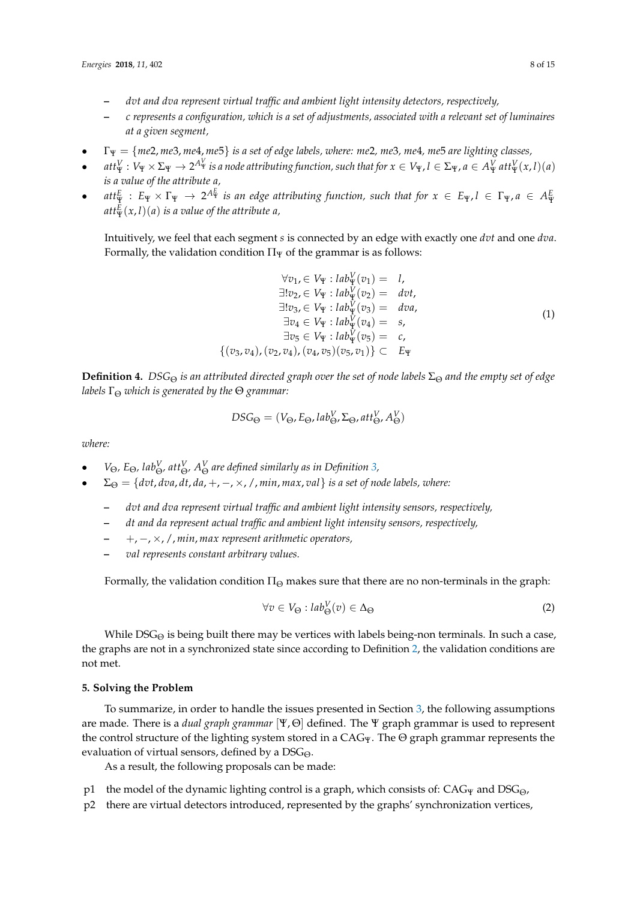- **–** *dvt and dva represent virtual traffic and ambient light intensity detectors, respectively,*
- **–** *c represents a configuration, which is a set of adjustments, associated with a relevant set of luminaires at a given segment,*
- Γ<sup>Ψ</sup> = {*me*2, *me*3, *me*4, *me*5} *is a set of edge labels, where: me*2*, me*3*, me*4*, me*5 *are lighting classes,*
- att ${}^V_\Psi:V_\Psi\times \Sigma_\Psi\to 2^{A^V_\Psi}$  is a node attributing function, such that for  $x\in V_\Psi$ ,  $l\in \Sigma_\Psi$ ,  $a\in A^V_\Psi$  att ${}^V_\Psi(x,l)(a)$ *is a value of the attribute a,*
- $att_{\Psi}^E : E_{\Psi} \times \Gamma_{\Psi} \to 2^{A_{\Psi}^E}$  is an edge attributing function, such that for  $x \in E_{\Psi}$ ,  $l \in \Gamma_{\Psi}$ ,  $a \in A_{\Psi}^E$  $\mathop{att}_\Psi^E(x,l)(a)$  *is a value of the attribute a,*

Intuitively, we feel that each segment *s* is connected by an edge with exactly one *dvt* and one *dva*. Formally, the validation condition  $\Pi_{\Psi}$  of the grammar is as follows:

$$
\forall v_1 \in V_{\Psi} : lab_{\Psi}^V(v_1) = 1,
$$
  
\n
$$
\exists! v_2 \in V_{\Psi} : lab_{\Psi}^V(v_2) = \text{d}vt,
$$
  
\n
$$
\exists! v_3 \in V_{\Psi} : lab_{\Psi}^V(v_3) = \text{d}va,
$$
  
\n
$$
\exists v_4 \in V_{\Psi} : lab_{\Psi}^V(v_4) = s,
$$
  
\n
$$
\exists v_5 \in V_{\Psi} : lab_{\Psi}^V(v_5) = c,
$$
  
\n
$$
\{(v_3, v_4), (v_2, v_4), (v_4, v_5)(v_5, v_1)\} \subset E_{\Psi}
$$
\n(1)

**Definition 4.** *DSG*<sub> $\Theta$ </sub> *is an attributed directed graph over the set of node labels*  $\Sigma_{\Theta}$  *and the empty set of edge labels*  $\Gamma_{\Theta}$  *which is generated by the*  $\Theta$  *grammar:* 

$$
DSG_{\Theta} = (V_{\Theta}, E_{\Theta}, lab_{\Theta}^V, \Sigma_{\Theta}, att_{\Theta}^V, A_{\Theta}^V)
$$

*where:*

- *V*<sub>Θ</sub>, *E*<sub>Θ</sub>, *lab*<sup>*V*</sup><sub>*Θ*</sub>, *att<sup><i>V*</sup><sub>*Θ*</sub>, *A<sup>V</sup><sub></sub>*<sub>*Θ*</sub> *are defined similarly <i>as in Definition* [3,](#page-6-0)
- $\Sigma_{\Theta} = \{dvt, dva, dt, da, +, -, \times, /, min, max, val\}$  *is a set of node labels, where:* 
	- **–** *dvt and dva represent virtual traffic and ambient light intensity sensors, respectively,*
	- **–** *dt and da represent actual traffic and ambient light intensity sensors, respectively,*
	- **–** +, −, ×, /, *min*, *max represent arithmetic operators,*
	- **–** *val represents constant arbitrary values.*

Formally, the validation condition  $\Pi_{\Theta}$  makes sure that there are no non-terminals in the graph:

$$
\forall v \in V_{\Theta} : lab_{\Theta}^{V}(v) \in \Delta_{\Theta}
$$
 (2)

While  $DSG_{\Theta}$  is being built there may be vertices with labels being-non terminals. In such a case, the graphs are not in a synchronized state since according to Definition [2,](#page-6-1) the validation conditions are not met.

## **5. Solving the Problem**

To summarize, in order to handle the issues presented in Section [3,](#page-3-0) the following assumptions are made. There is a *dual graph grammar* [Ψ, Θ] defined. The Ψ graph grammar is used to represent the control structure of the lighting system stored in a  $CAG_{\Psi}$ . The  $\Theta$  graph grammar represents the evaluation of virtual sensors, defined by a  $DSG_{\Theta}$ .

As a result, the following proposals can be made:

- p1 the model of the dynamic lighting control is a graph, which consists of:  $CAG_{\Psi}$  and  $DSG_{\Theta}$ ,
- p2 there are virtual detectors introduced, represented by the graphs' synchronization vertices,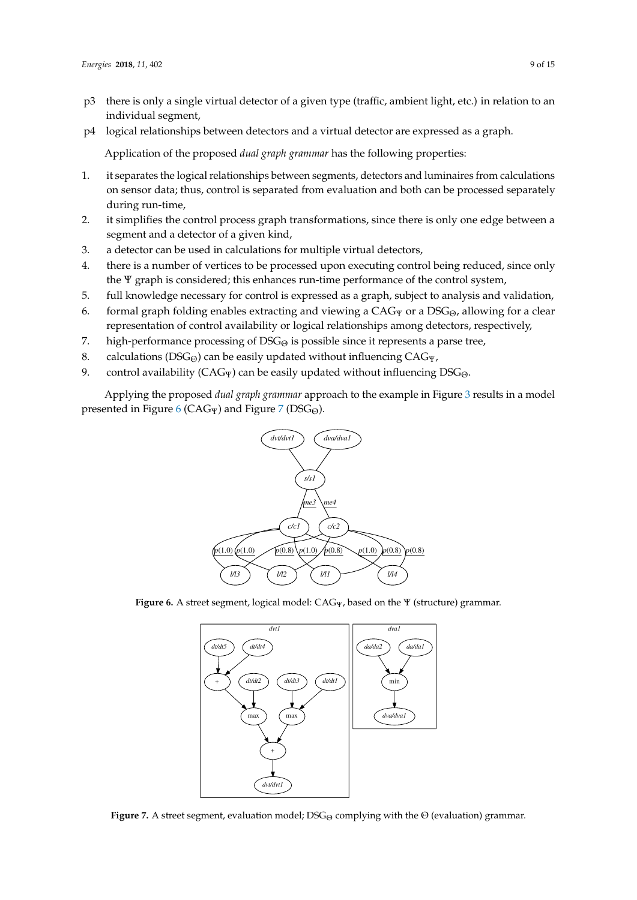- p3 there is only a single virtual detector of a given type (traffic, ambient light, etc.) in relation to an individual segment,
- p4 logical relationships between detectors and a virtual detector are expressed as a graph.

Application of the proposed *dual graph grammar* has the following properties:

- 1. it separates the logical relationships between segments, detectors and luminaires from calculations on sensor data; thus, control is separated from evaluation and both can be processed separately during run-time,
- 2. it simplifies the control process graph transformations, since there is only one edge between a segment and a detector of a given kind,
- 3. a detector can be used in calculations for multiple virtual detectors,
- 4. there is a number of vertices to be processed upon executing control being reduced, since only the Ψ graph is considered; this enhances run-time performance of the control system,
- 5. full knowledge necessary for control is expressed as a graph, subject to analysis and validation,
- 6. formal graph folding enables extracting and viewing a  $CAG_{\Psi}$  or a DSG<sub> $\Theta$ </sub>, allowing for a clear representation of control availability or logical relationships among detectors, respectively,
- 7. high-performance processing of  $DSG_{\Theta}$  is possible since it represents a parse tree,
- 8. calculations (DSG $_{\Theta}$ ) can be easily updated without influencing CAG $_{\Psi}$ ,
- 9. control availability ( $CAG_{\Psi}$ ) can be easily updated without influencing  $DSG_{\Theta}$ .

<span id="page-8-0"></span>Applying the proposed *dual graph grammar* approach to the example in Figure [3](#page-4-0) results in a model presented in Figure [6](#page-8-0) (CAG $_{\rm P}$ ) and Figure [7](#page-8-1) (DSG $_{\odot}$ ).



<span id="page-8-1"></span>**Figure 6.** A street segment, logical model: CAGΨ, based on the Ψ (structure) grammar.



**Figure 7.** A street segment, evaluation model; DSG<sub>Θ</sub> complying with the Θ (evaluation) grammar.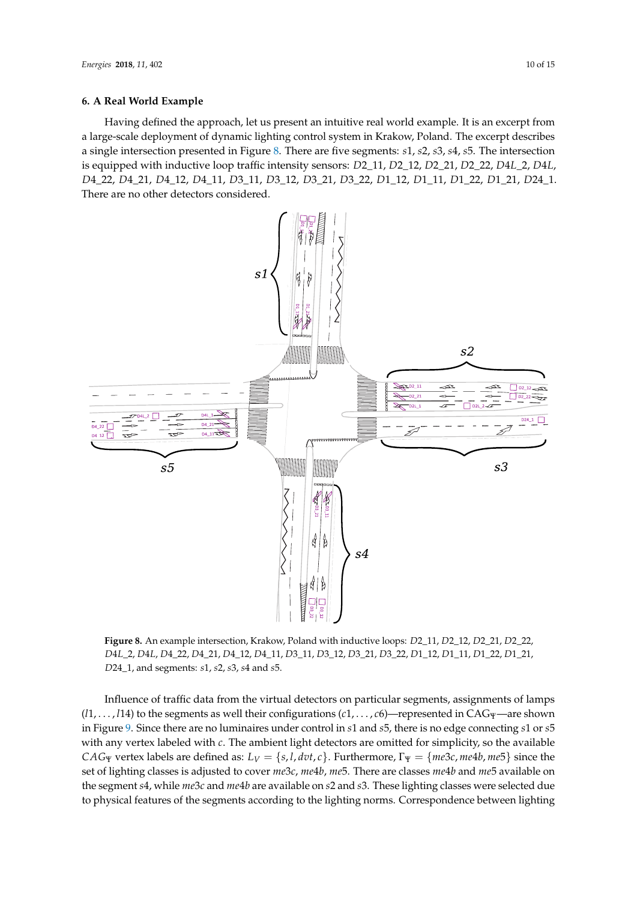#### **6. A Real World Example**

Having defined the approach, let us present an intuitive real world example. It is an excerpt from a large-scale deployment of dynamic lighting control system in Krakow, Poland. The excerpt describes a single intersection presented in Figure [8.](#page-9-0) There are five segments: *s*1, *s*2, *s*3, *s*4, *s*5. The intersection is equipped with inductive loop traffic intensity sensors: *D*2\_11, *D*2\_12, *D*2\_21, *D*2\_22, *D*4*L*\_2, *D*4*L*, *D*4\_22, *D*4\_21, *D*4\_12, *D*4\_11, *D*3\_11, *D*3\_12, *D*3\_21, *D*3\_22, *D*1\_12, *D*1\_11, *D*1\_22, *D*1\_21, *D*24\_1. There are no other detectors considered.

<span id="page-9-0"></span>

**Figure 8.** An example intersection, Krakow, Poland with inductive loops: *D*2\_11, *D*2\_12, *D*2\_21, *D*2\_22, *D*4*L*\_2, *D*4*L*, *D*4\_22, *D*4\_21, *D*4\_12, *D*4\_11, *D*3\_11, *D*3\_12, *D*3\_21, *D*3\_22, *D*1\_12, *D*1\_11, *D*1\_22, *D*1\_21, *D*24\_1, and segments: *s*1, *s*2, *s*3, *s*4 and *s*5.

Influence of traffic data from the virtual detectors on particular segments, assignments of lamps (*l*1, . . . , *l*14) to the segments as well their configurations (*c*1, . . . , *c*6)—represented in CAGΨ—are shown in Figure [9.](#page-11-0) Since there are no luminaires under control in *s*1 and *s*5, there is no edge connecting *s*1 or *s*5 with any vertex labeled with *c*. The ambient light detectors are omitted for simplicity, so the available *CAG*Ψ vertex labels are defined as:  $L_V = \{s, l, dvt, c\}$ . Furthermore,  $\Gamma_\Psi = \{me3c, me4b, me5\}$  since the set of lighting classes is adjusted to cover *me*3*c*, *me*4*b*, *me*5. There are classes *me*4*b* and *me*5 available on the segment *s*4, while *me*3*c* and *me*4*b* are available on *s*2 and *s*3. These lighting classes were selected due to physical features of the segments according to the lighting norms. Correspondence between lighting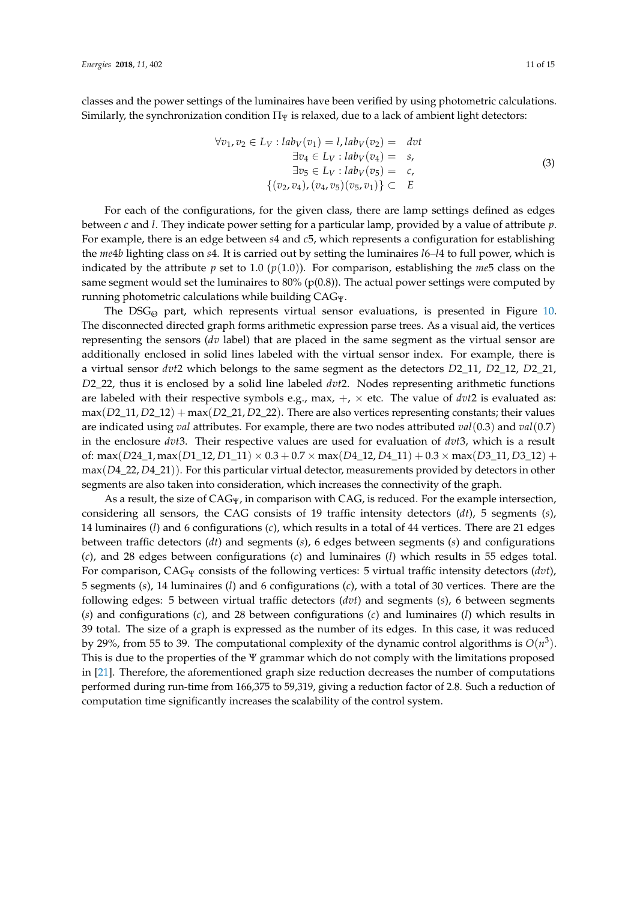classes and the power settings of the luminaires have been verified by using photometric calculations. Similarly, the synchronization condition  $\Pi_{\Psi}$  is relaxed, due to a lack of ambient light detectors:

$$
\forall v_1, v_2 \in L_V: lab_V(v_1) = l, lab_V(v_2) = dvt
$$
  
\n
$$
\exists v_4 \in L_V: lab_V(v_4) = s,
$$
  
\n
$$
\exists v_5 \in L_V: lab_V(v_5) = c,
$$
  
\n
$$
\{(v_2, v_4), (v_4, v_5)(v_5, v_1)\} \subset E
$$
\n(3)

For each of the configurations, for the given class, there are lamp settings defined as edges between *c* and *l*. They indicate power setting for a particular lamp, provided by a value of attribute *p*. For example, there is an edge between *s*4 and *c*5, which represents a configuration for establishing the *me*4*b* lighting class on *s*4. It is carried out by setting the luminaires *l*6–*l*4 to full power, which is indicated by the attribute *p* set to 1.0 (*p*(1.0)). For comparison, establishing the *me*5 class on the same segment would set the luminaires to  $80\%$  (p(0.8)). The actual power settings were computed by running photometric calculations while building CAGΨ.

The DSG<sub> $\odot$ </sub> part, which represents virtual sensor evaluations, is presented in Figure [10.](#page-12-0) The disconnected directed graph forms arithmetic expression parse trees. As a visual aid, the vertices representing the sensors (*dv* label) that are placed in the same segment as the virtual sensor are additionally enclosed in solid lines labeled with the virtual sensor index. For example, there is a virtual sensor *dvt*2 which belongs to the same segment as the detectors *D*2\_11, *D*2\_12, *D*2\_21, *D*2\_22, thus it is enclosed by a solid line labeled *dvt*2. Nodes representing arithmetic functions are labeled with their respective symbols e.g., max,  $+$ ,  $\times$  etc. The value of *dvt*2 is evaluated as: max(*D*2\_11, *D*2\_12) + max(*D*2\_21, *D*2\_22). There are also vertices representing constants; their values are indicated using *val* attributes. For example, there are two nodes attributed *val*(0.3) and *val*(0.7) in the enclosure *dvt*3. Their respective values are used for evaluation of *dvt*3, which is a result of: max(*D*24\_1, max(*D*1\_12, *D*1\_11) × 0.3 + 0.7 × max(*D*4\_12, *D*4\_11) + 0.3 × max(*D*3\_11, *D*3\_12) + max(*D*4\_22, *D*4\_21)). For this particular virtual detector, measurements provided by detectors in other segments are also taken into consideration, which increases the connectivity of the graph.

As a result, the size of  $CAG_{\Psi}$ , in comparison with CAG, is reduced. For the example intersection, considering all sensors, the CAG consists of 19 traffic intensity detectors (*dt*), 5 segments (*s*), 14 luminaires (*l*) and 6 configurations (*c*), which results in a total of 44 vertices. There are 21 edges between traffic detectors (*dt*) and segments (*s*), 6 edges between segments (*s*) and configurations (*c*), and 28 edges between configurations (*c*) and luminaires (*l*) which results in 55 edges total. For comparison, CAG<sup>Ψ</sup> consists of the following vertices: 5 virtual traffic intensity detectors (*dvt*), 5 segments (*s*), 14 luminaires (*l*) and 6 configurations (*c*), with a total of 30 vertices. There are the following edges: 5 between virtual traffic detectors (*dvt*) and segments (*s*), 6 between segments (*s*) and configurations (*c*), and 28 between configurations (*c*) and luminaires (*l*) which results in 39 total. The size of a graph is expressed as the number of its edges. In this case, it was reduced by 29%, from 55 to 39. The computational complexity of the dynamic control algorithms is  $O(n^3)$ . This is due to the properties of the Ψ grammar which do not comply with the limitations proposed in [\[21\]](#page-14-5). Therefore, the aforementioned graph size reduction decreases the number of computations performed during run-time from 166,375 to 59,319, giving a reduction factor of 2.8. Such a reduction of computation time significantly increases the scalability of the control system.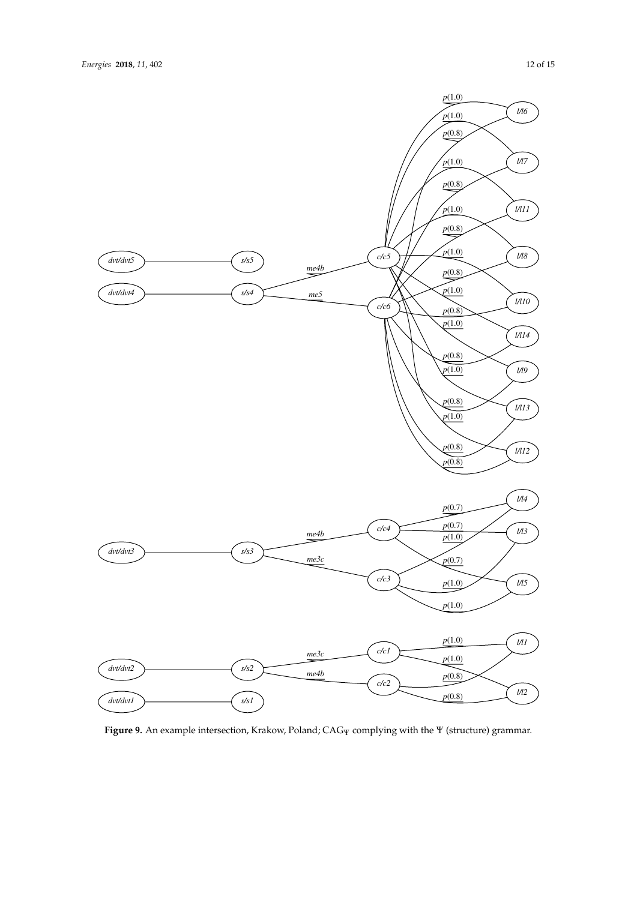<span id="page-11-0"></span>

Figure 9. An example intersection, Krakow, Poland; CAG<sub>Ψ</sub> complying with the Ψ (structure) grammar.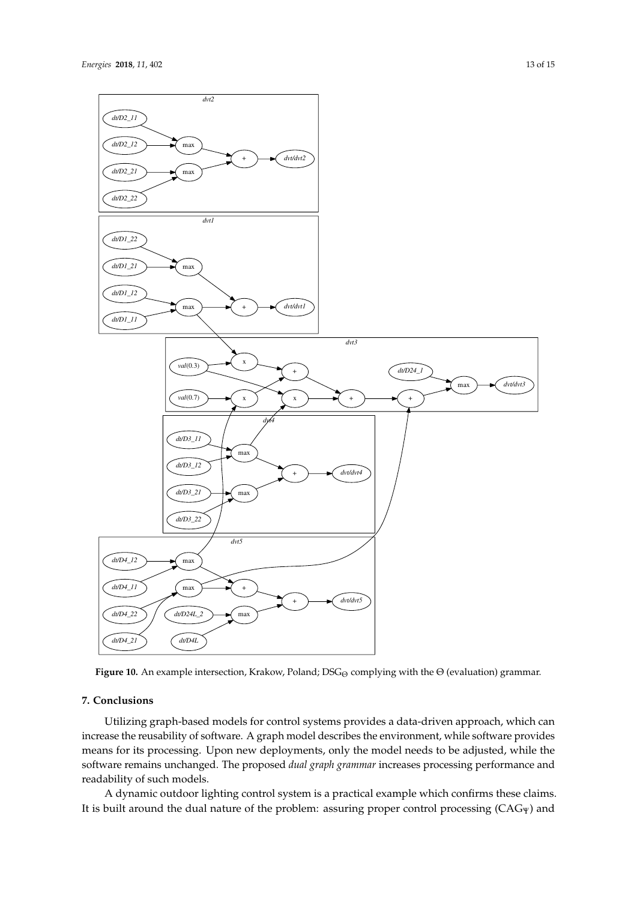<span id="page-12-0"></span>

**Figure 10.** An example intersection, Krakow, Poland; DSG<sub>Θ</sub> complying with the Θ (evaluation) grammar.

## **7. Conclusions**

Utilizing graph-based models for control systems provides a data-driven approach, which can increase the reusability of software. A graph model describes the environment, while software provides means for its processing. Upon new deployments, only the model needs to be adjusted, while the software remains unchanged. The proposed *dual graph grammar* increases processing performance and readability of such models.

A dynamic outdoor lighting control system is a practical example which confirms these claims. It is built around the dual nature of the problem: assuring proper control processing (CAG<sub>Ψ</sub>) and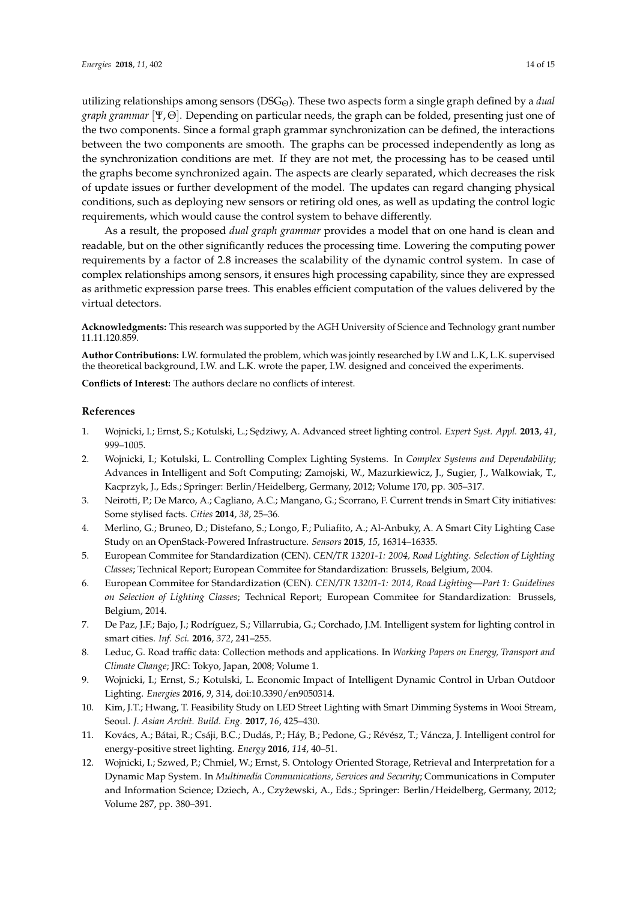utilizing relationships among sensors (DSG<sub>Θ</sub>). These two aspects form a single graph defined by a *dual graph grammar* [Ψ, Θ]. Depending on particular needs, the graph can be folded, presenting just one of the two components. Since a formal graph grammar synchronization can be defined, the interactions between the two components are smooth. The graphs can be processed independently as long as the synchronization conditions are met. If they are not met, the processing has to be ceased until the graphs become synchronized again. The aspects are clearly separated, which decreases the risk of update issues or further development of the model. The updates can regard changing physical conditions, such as deploying new sensors or retiring old ones, as well as updating the control logic requirements, which would cause the control system to behave differently.

As a result, the proposed *dual graph grammar* provides a model that on one hand is clean and readable, but on the other significantly reduces the processing time. Lowering the computing power requirements by a factor of 2.8 increases the scalability of the dynamic control system. In case of complex relationships among sensors, it ensures high processing capability, since they are expressed as arithmetic expression parse trees. This enables efficient computation of the values delivered by the virtual detectors.

**Acknowledgments:** This research was supported by the AGH University of Science and Technology grant number 11.11.120.859.

**Author Contributions:** I.W. formulated the problem, which was jointly researched by I.W and L.K, L.K. supervised the theoretical background, I.W. and L.K. wrote the paper, I.W. designed and conceived the experiments.

**Conflicts of Interest:** The authors declare no conflicts of interest.

#### **References**

- <span id="page-13-0"></span>1. Wojnicki, I.; Ernst, S.; Kotulski, L.; Sędziwy, A. Advanced street lighting control. *Expert Syst. Appl.* 2013, 41, 999–1005.
- <span id="page-13-1"></span>2. Wojnicki, I.; Kotulski, L. Controlling Complex Lighting Systems. In *Complex Systems and Dependability*; Advances in Intelligent and Soft Computing; Zamojski, W., Mazurkiewicz, J., Sugier, J., Walkowiak, T., Kacprzyk, J., Eds.; Springer: Berlin/Heidelberg, Germany, 2012; Volume 170, pp. 305–317.
- <span id="page-13-2"></span>3. Neirotti, P.; De Marco, A.; Cagliano, A.C.; Mangano, G.; Scorrano, F. Current trends in Smart City initiatives: Some stylised facts. *Cities* **2014**, *38*, 25–36.
- <span id="page-13-3"></span>4. Merlino, G.; Bruneo, D.; Distefano, S.; Longo, F.; Puliafito, A.; Al-Anbuky, A. A Smart City Lighting Case Study on an OpenStack-Powered Infrastructure. *Sensors* **2015**, *15*, 16314–16335.
- <span id="page-13-4"></span>5. European Commitee for Standardization (CEN). *CEN/TR 13201-1: 2004, Road Lighting. Selection of Lighting Classes*; Technical Report; European Commitee for Standardization: Brussels, Belgium, 2004.
- <span id="page-13-5"></span>6. European Commitee for Standardization (CEN). *CEN/TR 13201-1: 2014, Road Lighting—Part 1: Guidelines on Selection of Lighting Classes*; Technical Report; European Commitee for Standardization: Brussels, Belgium, 2014.
- <span id="page-13-6"></span>7. De Paz, J.F.; Bajo, J.; Rodríguez, S.; Villarrubia, G.; Corchado, J.M. Intelligent system for lighting control in smart cities. *Inf. Sci.* **2016**, *372*, 241–255.
- <span id="page-13-7"></span>8. Leduc, G. Road traffic data: Collection methods and applications. In *Working Papers on Energy, Transport and Climate Change*; JRC: Tokyo, Japan, 2008; Volume 1.
- <span id="page-13-8"></span>9. Wojnicki, I.; Ernst, S.; Kotulski, L. Economic Impact of Intelligent Dynamic Control in Urban Outdoor Lighting. *Energies* **2016**, *9*, 314, doi:10.3390/en9050314.
- <span id="page-13-9"></span>10. Kim, J.T.; Hwang, T. Feasibility Study on LED Street Lighting with Smart Dimming Systems in Wooi Stream, Seoul. *J. Asian Archit. Build. Eng.* **2017**, *16*, 425–430.
- <span id="page-13-10"></span>11. Kovács, A.; Bátai, R.; Csáji, B.C.; Dudás, P.; Háy, B.; Pedone, G.; Révész, T.; Váncza, J. Intelligent control for energy-positive street lighting. *Energy* **2016**, *114*, 40–51.
- <span id="page-13-11"></span>12. Wojnicki, I.; Szwed, P.; Chmiel, W.; Ernst, S. Ontology Oriented Storage, Retrieval and Interpretation for a Dynamic Map System. In *Multimedia Communications, Services and Security*; Communications in Computer and Information Science; Dziech, A., Czyzewski, A., Eds.; Springer: Berlin/Heidelberg, Germany, 2012; ˙ Volume 287, pp. 380–391.